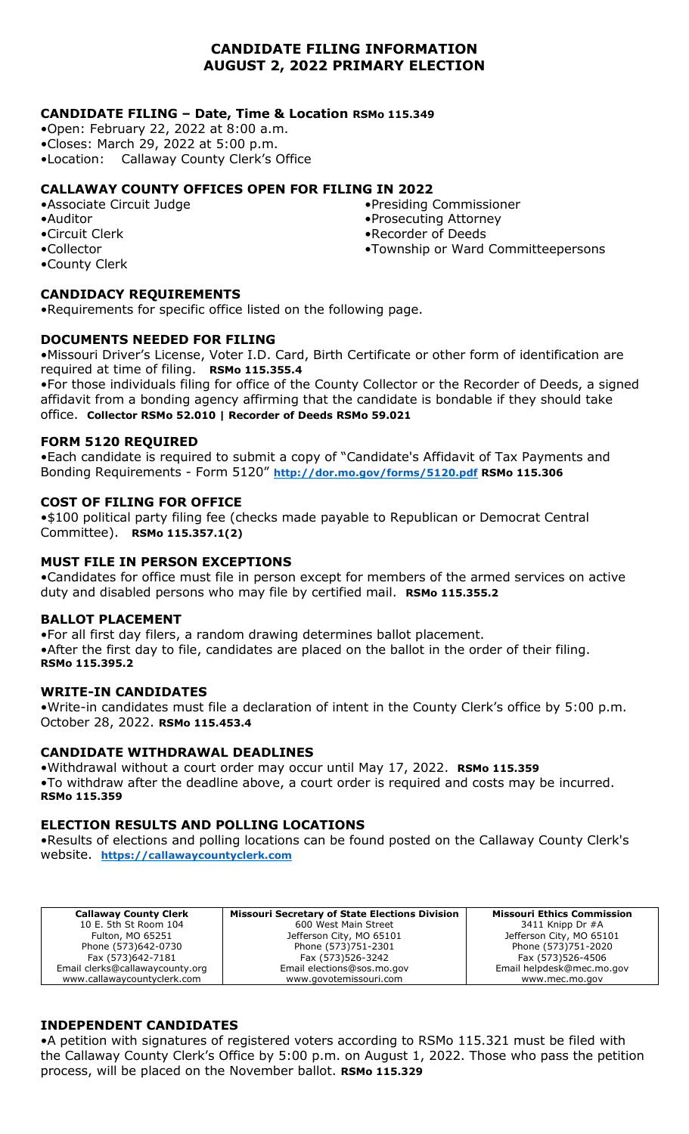# **CANDIDATE FILING INFORMATION AUGUST 2, 2022 PRIMARY ELECTION**

# **CANDIDATE FILING – Date, Time & Location RSMo 115.349**

•Open: February 22, 2022 at 8:00 a.m. •Closes: March 29, 2022 at 5:00 p.m. •Location: Callaway County Clerk's Office

# **CALLAWAY COUNTY OFFICES OPEN FOR FILING IN 2022**

- •Associate Circuit Judge •Auditor
- •Circuit Clerk
- •Collector
- •County Clerk

# **CANDIDACY REQUIREMENTS**

•Requirements for specific office listed on the following page.

# **DOCUMENTS NEEDED FOR FILING**

•Missouri Driver's License, Voter I.D. Card, Birth Certificate or other form of identification are required at time of filing. **RSMo 115.355.4**

•For those individuals filing for office of the County Collector or the Recorder of Deeds, a signed affidavit from a bonding agency affirming that the candidate is bondable if they should take office. **Collector RSMo 52.010 | Recorder of Deeds RSMo 59.021**

### **FORM 5120 REQUIRED**

•Each candidate is required to submit a copy of "Candidate's Affidavit of Tax Payments and Bonding Requirements - Form 5120" **<http://dor.mo.gov/forms/5120.pdf> RSMo 115.306**

### **COST OF FILING FOR OFFICE**

•\$100 political party filing fee (checks made payable to Republican or Democrat Central Committee). **RSMo 115.357.1(2)**

### **MUST FILE IN PERSON EXCEPTIONS**

•Candidates for office must file in person except for members of the armed services on active duty and disabled persons who may file by certified mail. **RSMo 115.355.2**

#### **BALLOT PLACEMENT**

•For all first day filers, a random drawing determines ballot placement. •After the first day to file, candidates are placed on the ballot in the order of their filing. **RSMo 115.395.2**

#### **WRITE-IN CANDIDATES**

•Write-in candidates must file a declaration of intent in the County Clerk's office by 5:00 p.m. October 28, 2022. **RSMo 115.453.4**

# **CANDIDATE WITHDRAWAL DEADLINES**

•Withdrawal without a court order may occur until May 17, 2022. **RSMo 115.359** •To withdraw after the deadline above, a court order is required and costs may be incurred. **RSMo 115.359**

# **ELECTION RESULTS AND POLLING LOCATIONS**

•Results of elections and polling locations can be found posted on the Callaway County Clerk's website. **[https://callawaycountyclerk.com](https://callawaycountyclerk.com/)**

| <b>Callaway County Clerk</b>    | <b>Missouri Secretary of State Elections Division</b> | <b>Missouri Ethics Commission</b> |
|---------------------------------|-------------------------------------------------------|-----------------------------------|
| 10 E. 5th St Room 104           | 600 West Main Street                                  | 3411 Knipp Dr $#A$                |
| Fulton, MO 65251                | Jefferson City, MO 65101                              | Jefferson City, MO 65101          |
| Phone (573)642-0730             | Phone (573)751-2301                                   | Phone (573)751-2020               |
| Fax (573)642-7181               | Fax (573)526-3242                                     | Fax (573)526-4506                 |
| Email clerks@callawaycounty.org | Email elections@sos.mo.gov                            | Email helpdesk@mec.mo.gov         |
| www.callawaycountyclerk.com     | www.govotemissouri.com                                | www.mec.mo.gov                    |

# **INDEPENDENT CANDIDATES**

•A petition with signatures of registered voters according to RSMo 115.321 must be filed with the Callaway County Clerk's Office by 5:00 p.m. on August 1, 2022. Those who pass the petition process, will be placed on the November ballot. **RSMo 115.329**

- •Presiding Commissioner
- •Prosecuting Attorney
- •Recorder of Deeds
- •Township or Ward Committeepersons